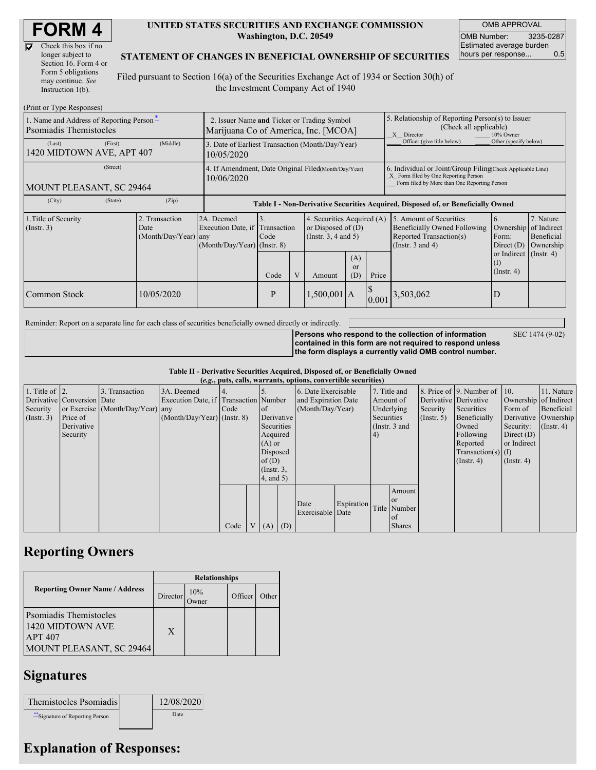| <b>FORM 4</b> |
|---------------|
|---------------|

| Check this box if no  |
|-----------------------|
| longer subject to     |
| Section 16. Form 4 or |
| Form 5 obligations    |
| may continue. See     |
| Instruction 1(b).     |

#### **UNITED STATES SECURITIES AND EXCHANGE COMMISSION Washington, D.C. 20549**

OMB APPROVAL OMB Number: 3235-0287 Estimated average burden hours per response... 0.5

### **STATEMENT OF CHANGES IN BENEFICIAL OWNERSHIP OF SECURITIES**

Filed pursuant to Section 16(a) of the Securities Exchange Act of 1934 or Section 30(h) of the Investment Company Act of 1940

| (Print or Type Responses)                                                  |                                                                                     |                                                                   |                                         |         |               |                                                                                |                                                                                                                                                    |                                                                                                             |                                                                 |                                      |  |  |
|----------------------------------------------------------------------------|-------------------------------------------------------------------------------------|-------------------------------------------------------------------|-----------------------------------------|---------|---------------|--------------------------------------------------------------------------------|----------------------------------------------------------------------------------------------------------------------------------------------------|-------------------------------------------------------------------------------------------------------------|-----------------------------------------------------------------|--------------------------------------|--|--|
| 1. Name and Address of Reporting Person-<br><b>P</b> somiadis Themistocles | 2. Issuer Name and Ticker or Trading Symbol<br>Marijuana Co of America, Inc. [MCOA] |                                                                   |                                         |         |               |                                                                                | 5. Relationship of Reporting Person(s) to Issuer<br>(Check all applicable)<br>X Director<br>10% Owner                                              |                                                                                                             |                                                                 |                                      |  |  |
| (Last)<br>(First)<br>1420 MIDTOWN AVE, APT 407                             | 3. Date of Earliest Transaction (Month/Day/Year)<br>10/05/2020                      |                                                                   |                                         |         |               |                                                                                | Officer (give title below)                                                                                                                         | Other (specify below)                                                                                       |                                                                 |                                      |  |  |
| (Street)<br>MOUNT PLEASANT, SC 29464                                       | 4. If Amendment, Date Original Filed(Month/Day/Year)<br>10/06/2020                  |                                                                   |                                         |         |               |                                                                                | 6. Individual or Joint/Group Filing(Check Applicable Line)<br>X Form filed by One Reporting Person<br>Form filed by More than One Reporting Person |                                                                                                             |                                                                 |                                      |  |  |
| (City)<br>(State)                                                          | (Zip)                                                                               |                                                                   |                                         |         |               |                                                                                |                                                                                                                                                    | Table I - Non-Derivative Securities Acquired, Disposed of, or Beneficially Owned                            |                                                                 |                                      |  |  |
| 1. Title of Security<br>$($ Instr. 3 $)$                                   | 2. Transaction<br>Date<br>(Month/Day/Year) any                                      | 2A. Deemed<br>Execution Date, if<br>$(Month/Day/Year)$ (Instr. 8) | $\overline{3}$ .<br>Transaction<br>Code |         |               | 4. Securities Acquired (A)<br>or Disposed of $(D)$<br>(Instr. $3, 4$ and $5$ ) |                                                                                                                                                    | 5. Amount of Securities<br>Beneficially Owned Following<br>Reported Transaction(s)<br>(Instr. $3$ and $4$ ) | <sup>6.</sup><br>Ownership of Indirect<br>Form:<br>Direct $(D)$ | 7. Nature<br>Beneficial<br>Ownership |  |  |
|                                                                            |                                                                                     |                                                                   | Code                                    | $\rm V$ | Amount        | (A)<br><sub>or</sub><br>(D)                                                    | Price                                                                                                                                              |                                                                                                             | or Indirect (Instr. 4)<br>(I)<br>$($ Instr. 4 $)$               |                                      |  |  |
| Common Stock                                                               | 10/05/2020                                                                          |                                                                   | P                                       |         | $1,500,001$ A |                                                                                | $\mathcal{S}$<br>0.001                                                                                                                             | 3,503,062                                                                                                   |                                                                 |                                      |  |  |

Reminder: Report on a separate line for each class of securities beneficially owned directly or indirectly.

**Persons who respond to the collection of information contained in this form are not required to respond unless the form displays a currently valid OMB control number.**

SEC 1474 (9-02)

**Table II - Derivative Securities Acquired, Disposed of, or Beneficially Owned**

|                        | (e.g., puts, calls, warrants, options, convertible securities) |                                  |                                       |      |  |                 |            |                          |            |            |               |                       |                              |                       |                      |
|------------------------|----------------------------------------------------------------|----------------------------------|---------------------------------------|------|--|-----------------|------------|--------------------------|------------|------------|---------------|-----------------------|------------------------------|-----------------------|----------------------|
| 1. Title of $\vert$ 2. |                                                                | 3. Transaction                   | 3A. Deemed                            |      |  |                 |            | 6. Date Exercisable      |            |            | 7. Title and  |                       | 8. Price of 9. Number of 10. |                       | 11. Nature           |
|                        | Derivative Conversion Date                                     |                                  | Execution Date, if Transaction Number |      |  |                 |            | and Expiration Date      | Amount of  |            |               | Derivative Derivative |                              | Ownership of Indirect |                      |
| Security               |                                                                | or Exercise (Month/Day/Year) any |                                       | Code |  | of              |            | (Month/Day/Year)         |            | Underlying | Security      | Securities            | Form of                      | Beneficial            |                      |
| (Insert. 3)            | Price of                                                       |                                  | $(Month/Day/Year)$ (Instr. 8)         |      |  |                 | Derivative |                          |            | Securities |               | $($ Instr. 5 $)$      | Beneficially                 |                       | Derivative Ownership |
|                        | Derivative                                                     |                                  |                                       |      |  | Securities      |            |                          |            |            | (Instr. 3 and |                       | Owned                        | Security:             | $($ Instr. 4)        |
|                        | Security                                                       |                                  |                                       |      |  | Acquired        |            |                          |            | (4)        |               |                       | Following                    | Direct $(D)$          |                      |
|                        |                                                                |                                  |                                       |      |  | $(A)$ or        |            |                          |            |            |               |                       | Reported                     | or Indirect           |                      |
|                        |                                                                |                                  |                                       |      |  | Disposed        |            |                          |            |            |               |                       | $Transaction(s)$ (I)         |                       |                      |
|                        |                                                                |                                  |                                       |      |  | of $(D)$        |            |                          |            |            |               |                       | $($ Instr. 4)                | $($ Instr. 4 $)$      |                      |
|                        |                                                                |                                  |                                       |      |  | $($ Instr. $3,$ |            |                          |            |            |               |                       |                              |                       |                      |
|                        |                                                                |                                  |                                       |      |  | $4$ , and $5$ ) |            |                          |            |            |               |                       |                              |                       |                      |
|                        |                                                                |                                  |                                       |      |  |                 |            |                          |            |            | Amount        |                       |                              |                       |                      |
|                        |                                                                |                                  |                                       |      |  |                 |            |                          |            |            | <sub>or</sub> |                       |                              |                       |                      |
|                        |                                                                |                                  |                                       |      |  |                 |            | Date<br>Exercisable Date | Expiration |            | Title Number  |                       |                              |                       |                      |
|                        |                                                                |                                  |                                       |      |  |                 |            |                          |            |            | of            |                       |                              |                       |                      |
|                        |                                                                |                                  |                                       | Code |  | V(A)            | (D)        |                          |            |            | <b>Shares</b> |                       |                              |                       |                      |

## **Reporting Owners**

|                                                                                                 | <b>Relationships</b> |                       |         |       |  |  |  |
|-------------------------------------------------------------------------------------------------|----------------------|-----------------------|---------|-------|--|--|--|
| <b>Reporting Owner Name / Address</b>                                                           | Director             | 10%<br><b>T</b> Jwner | Officer | Other |  |  |  |
| <b>Psomiadis Themistocles</b><br>1420 MIDTOWN AVE<br><b>APT 407</b><br>MOUNT PLEASANT, SC 29464 | X                    |                       |         |       |  |  |  |

## **Signatures**

| Themistocles Psomiadis        | 12/08/2020 |
|-------------------------------|------------|
| Signature of Reporting Person | Date       |

# **Explanation of Responses:**